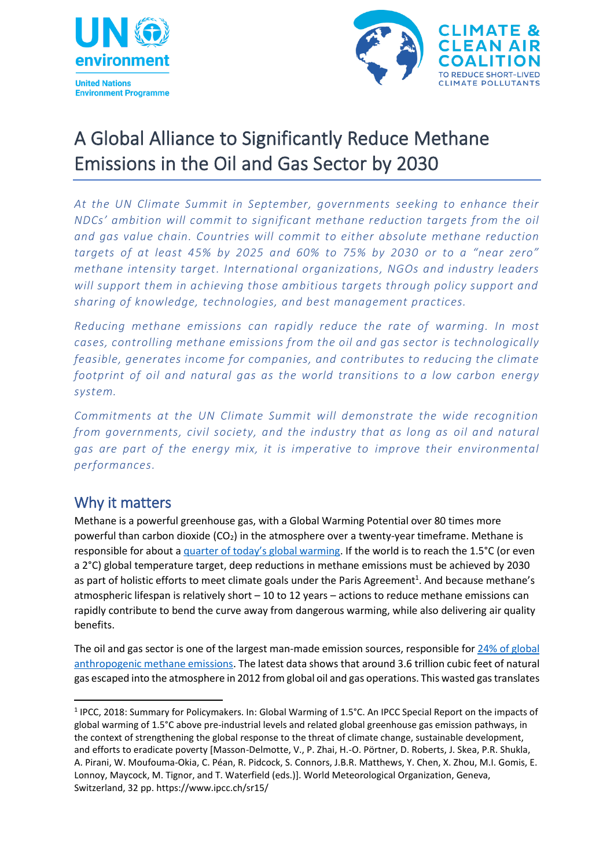



## A Global Alliance to Significantly Reduce Methane Emissions in the Oil and Gas Sector by 2030

*At the UN Climate Summit in September, governments seeking to enhance their NDCs' ambition will commit to significant methane reduction targets from the oil and gas value chain. Countries will commit to either absolute methane reduction targets of at least 45% by 2025 and 60% to 75% by 2030 or to a "near zero" methane intensity target. International organizations, NGOs and industry leaders will support them in achieving those ambitious targets through policy support and sharing of knowledge, technologies, and best management practices.*

*Reducing methane emissions can rapidly reduce the rate of warming. In most cases, controlling methane emissions from the oil and gas sector is technologically feasible, generates income for companies, and contributes to reducing the climate footprint of oil and natural gas as the world transitions to a low carbon energy system.*

*Commitments at the UN Climate Summit will demonstrate the wide recognition from governments, civil society, and the industry that as long as oil and natural gas are part of the energy mix, it is imperative to improve their environmental performances.*

## Why it matters

Methane is a powerful greenhouse gas, with a Global Warming Potential over 80 times more powerful than carbon dioxide  $(CO_2)$  in the atmosphere over a twenty-year timeframe. Methane is responsible for about a [quarter of today's global warming](https://www.ipcc.ch/sr15/). If the world is to reach the 1.5°C (or even a 2°C) global temperature target, deep reductions in methane emissions must be achieved by 2030 as part of holistic efforts to meet climate goals under the Paris Agreement<sup>1</sup>. And because methane's atmospheric lifespan is relatively short – 10 to 12 years – actions to reduce methane emissions can rapidly contribute to bend the curve away from dangerous warming, while also delivering air quality benefits.

The oil and gas sector is one of the largest man-made emission sources, responsible for 24% of global [anthropogenic methane emissions.](https://www.globalmethane.org/documents/gmi-mitigation-factsheet.pdf) The latest data shows that around 3.6 trillion cubic feet of natural gas escaped into the atmosphere in 2012 from global oil and gas operations. This wasted gas translates

<sup>1</sup> <sup>1</sup> IPCC, 2018: Summary for Policymakers. In: Global Warming of 1.5°C. An IPCC Special Report on the impacts of global warming of 1.5°C above pre-industrial levels and related global greenhouse gas emission pathways, in the context of strengthening the global response to the threat of climate change, sustainable development, and efforts to eradicate poverty [Masson-Delmotte, V., P. Zhai, H.-O. Pörtner, D. Roberts, J. Skea, P.R. Shukla, A. Pirani, W. Moufouma-Okia, C. Péan, R. Pidcock, S. Connors, J.B.R. Matthews, Y. Chen, X. Zhou, M.I. Gomis, E. Lonnoy, Maycock, M. Tignor, and T. Waterfield (eds.)]. World Meteorological Organization, Geneva, Switzerland, 32 pp. https://www.ipcc.ch/sr15/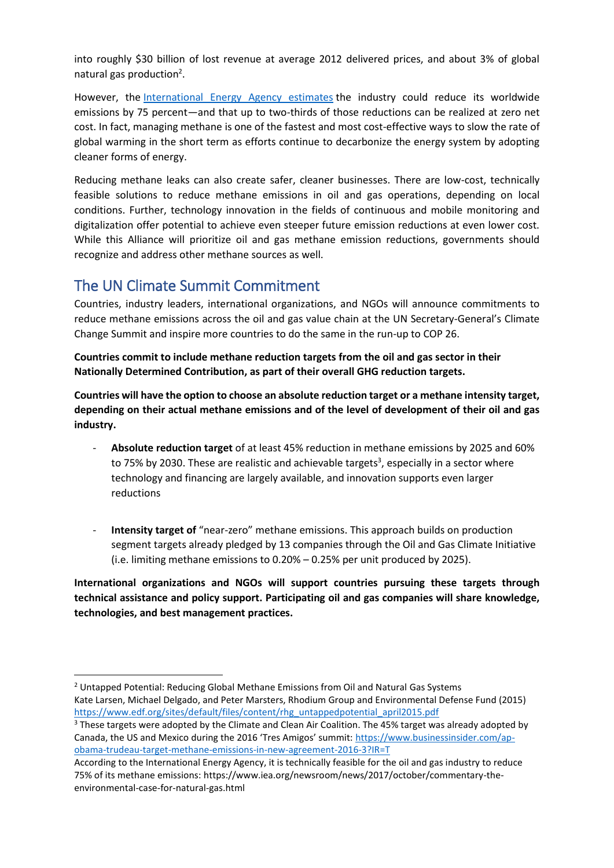into roughly \$30 billion of lost revenue at average 2012 delivered prices, and about 3% of global natural gas production<sup>2</sup>.

However, the [International Energy Agency](https://www.iea.org/weo2017/) estimates the industry could reduce its worldwide emissions by 75 percent—and that up to two-thirds of those reductions can be realized at zero net cost. In fact, managing methane is one of the fastest and most cost-effective ways to slow the rate of global warming in the short term as efforts continue to decarbonize the energy system by adopting cleaner forms of energy.

Reducing methane leaks can also create safer, cleaner businesses. There are low-cost, technically feasible solutions to reduce methane emissions in oil and gas operations, depending on local conditions. Further, technology innovation in the fields of continuous and mobile monitoring and digitalization offer potential to achieve even steeper future emission reductions at even lower cost. While this Alliance will prioritize oil and gas methane emission reductions, governments should recognize and address other methane sources as well.

## The UN Climate Summit Commitment

**.** 

Countries, industry leaders, international organizations, and NGOs will announce commitments to reduce methane emissions across the oil and gas value chain at the UN Secretary-General's Climate Change Summit and inspire more countries to do the same in the run-up to COP 26.

**Countries commit to include methane reduction targets from the oil and gas sector in their Nationally Determined Contribution, as part of their overall GHG reduction targets.**

**Countries will have the option to choose an absolute reduction target or a methane intensity target, depending on their actual methane emissions and of the level of development of their oil and gas industry.**

- **Absolute reduction target** of at least 45% reduction in methane emissions by 2025 and 60% to 75% by 2030. These are realistic and achievable targets<sup>3</sup>, especially in a sector where technology and financing are largely available, and innovation supports even larger reductions
- **Intensity target of** "near-zero" methane emissions. This approach builds on production segment targets already pledged by 13 companies through the Oil and Gas Climate Initiative (i.e. limiting methane emissions to 0.20% – 0.25% per unit produced by 2025).

**International organizations and NGOs will support countries pursuing these targets through technical assistance and policy support. Participating oil and gas companies will share knowledge, technologies, and best management practices.**

<sup>&</sup>lt;sup>2</sup> Untapped Potential: Reducing Global Methane Emissions from Oil and Natural Gas Systems Kate Larsen, Michael Delgado, and Peter Marsters, Rhodium Group and Environmental Defense Fund (2015) [https://www.edf.org/sites/default/files/content/rhg\\_untappedpotential\\_april2015.pdf](https://www.edf.org/sites/default/files/content/rhg_untappedpotential_april2015.pdf)

<sup>&</sup>lt;sup>3</sup> These targets were adopted by the Climate and Clean Air Coalition. The 45% target was already adopted by Canada, the US and Mexico during the 2016 'Tres Amigos' summit: [https://www.businessinsider.com/ap](https://www.businessinsider.com/ap-obama-trudeau-target-methane-emissions-in-new-agreement-2016-3?IR=T)[obama-trudeau-target-methane-emissions-in-new-agreement-2016-3?IR=T](https://www.businessinsider.com/ap-obama-trudeau-target-methane-emissions-in-new-agreement-2016-3?IR=T)

According to the International Energy Agency, it is technically feasible for the oil and gas industry to reduce 75% of its methane emissions: https://www.iea.org/newsroom/news/2017/october/commentary-theenvironmental-case-for-natural-gas.html